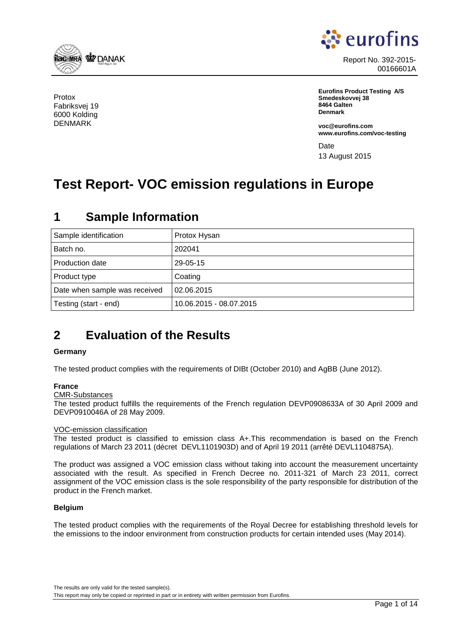<span id="page-0-0"></span>

Protox Fabriksvej 19 6000 Kolding DENMARK



Report No. 392-2015- 00166601A

**Eurofins Product Testing A/S Smedeskovvej 38 8464 Galten Denmark**

**voc@eurofins.com www.eurofins.com/voc-testing**

Date 13 August 2015

# **Test Report- VOC emission regulations in Europe**

## Sample identification **Protox Hysan** Batch no. 202041 Production date 29-05-15 Product type Coating Date when sample was received  $\vert$  02.06.2015 Testing (start - end) 10.06.2015 - 08.07.2015

# **1 Sample Information**

# **2 Evaluation of the Results**

#### **Germany**

The tested product complies with the requirements of DIBt (October 2010) and AgBB (June 2012).

#### **France**

CMR-Substances

The tested product fulfills the requirements of the French regulation DEVP0908633A of 30 April 2009 and DEVP0910046A of 28 May 2009.

#### VOC-emission classification

The tested product is classified to emission class A+.This recommendation is based on the French regulations of March 23 2011 (décret DEVL1101903D) and of April 19 2011 (arrêté DEVL1104875A).

The product was assigned a VOC emission class without taking into account the measurement uncertainty associated with the result. As specified in French Decree no. 2011-321 of March 23 2011, correct assignment of the VOC emission class is the sole responsibility of the party responsible for distribution of the product in the French market.

#### **Belgium**

The tested product complies with the requirements of the Royal Decree for establishing threshold levels for the emissions to the indoor environment from construction products for certain intended uses (May 2014).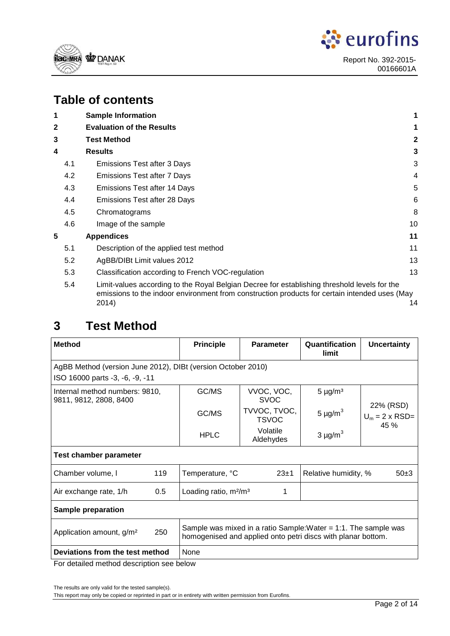



## **Table of contents**

| 2                                                                                                                                                                                                   |
|-----------------------------------------------------------------------------------------------------------------------------------------------------------------------------------------------------|
| 3                                                                                                                                                                                                   |
| 3                                                                                                                                                                                                   |
| 4                                                                                                                                                                                                   |
| 5                                                                                                                                                                                                   |
| 6                                                                                                                                                                                                   |
| 8                                                                                                                                                                                                   |
| 10                                                                                                                                                                                                  |
| 11                                                                                                                                                                                                  |
| 11                                                                                                                                                                                                  |
| 13                                                                                                                                                                                                  |
| 13                                                                                                                                                                                                  |
| Limit-values according to the Royal Belgian Decree for establishing threshold levels for the<br>emissions to the indoor environment from construction products for certain intended uses (May<br>14 |
|                                                                                                                                                                                                     |

## **3 Test Method**

| <b>Method</b>                                                |      | <b>Principle</b>                                                                                                                   | <b>Parameter</b>             | Quantification<br>limit  | <b>Uncertainty</b>                             |  |
|--------------------------------------------------------------|------|------------------------------------------------------------------------------------------------------------------------------------|------------------------------|--------------------------|------------------------------------------------|--|
| AgBB Method (version June 2012), DIBt (version October 2010) |      |                                                                                                                                    |                              |                          |                                                |  |
| ISO 16000 parts -3, -6, -9, -11                              |      |                                                                                                                                    |                              |                          |                                                |  |
| Internal method numbers: 9810,<br>9811, 9812, 2808, 8400     |      | GC/MS                                                                                                                              | VVOC, VOC,<br><b>SVOC</b>    | $5 \mu g/m^3$            |                                                |  |
|                                                              |      | GC/MS                                                                                                                              | TVVOC, TVOC,<br><b>TSVOC</b> | 5 $\mu$ g/m <sup>3</sup> | 22% (RSD)<br>$U_m = 2 \times RSD =$<br>$45 \%$ |  |
|                                                              |      | <b>HPLC</b>                                                                                                                        | Volatile<br>Aldehydes        | $3 \mu g/m^3$            |                                                |  |
| <b>Test chamber parameter</b>                                |      |                                                                                                                                    |                              |                          |                                                |  |
| 119<br>Chamber volume, I                                     |      | Temperature, °C                                                                                                                    | 23±1                         | Relative humidity, %     | $50+3$                                         |  |
| 0.5<br>Air exchange rate, 1/h                                |      | Loading ratio, $m^2/m^3$                                                                                                           | 1                            |                          |                                                |  |
| <b>Sample preparation</b>                                    |      |                                                                                                                                    |                              |                          |                                                |  |
| Application amount, g/m <sup>2</sup>                         | 250  | Sample was mixed in a ratio Sample: Water $= 1:1$ . The sample was<br>homogenised and applied onto petri discs with planar bottom. |                              |                          |                                                |  |
| Deviations from the test method                              | None |                                                                                                                                    |                              |                          |                                                |  |

For detailed method description see below

The results are only valid for the tested sample(s).

This report may only be copied or reprinted in part or in entirety with written permission from Eurofins.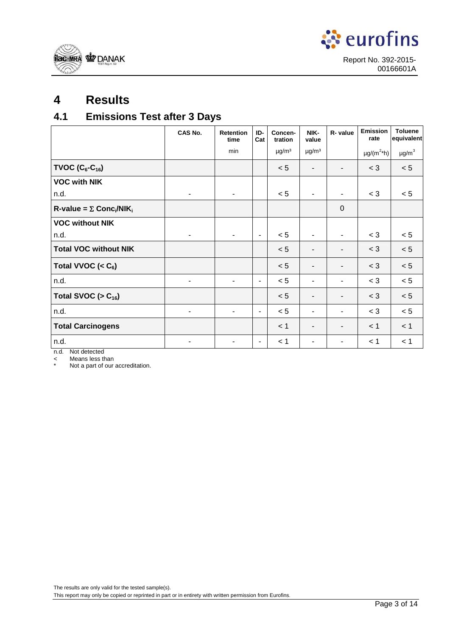<span id="page-2-0"></span>



# **4 Results**

## **4.1 Emissions Test after 3 Days**

|                                                           | <b>CAS No.</b> | <b>Retention</b><br>time | ID-<br>Cat     | Concen-<br>tration     | NIK-<br>value            | R- value                 | Emission<br>rate            | <b>Toluene</b><br>equivalent |
|-----------------------------------------------------------|----------------|--------------------------|----------------|------------------------|--------------------------|--------------------------|-----------------------------|------------------------------|
|                                                           |                | min                      |                | $\mu$ g/m <sup>3</sup> | $\mu$ g/m <sup>3</sup>   |                          | $\mu$ g/(m <sup>2*</sup> h) | $\mu$ g/m $^3$               |
| TVOC $(C_6-C_{16})$                                       |                |                          |                | < 5                    |                          |                          | $<$ 3                       | < 5                          |
| <b>VOC with NIK</b>                                       |                |                          |                |                        |                          |                          |                             |                              |
| n.d.                                                      |                | ٠                        |                | < 5                    | $\blacksquare$           | $\overline{\phantom{a}}$ | $<$ 3                       | < 5                          |
| $R$ -value = $\Sigma$ Conc <sub>i</sub> /NIK <sub>i</sub> |                |                          |                |                        |                          | $\mathbf 0$              |                             |                              |
| <b>VOC without NIK</b>                                    |                |                          |                |                        |                          |                          |                             |                              |
| n.d.                                                      | ۰              | ٠                        | $\blacksquare$ | < 5                    | $\overline{\phantom{a}}$ | $\overline{\phantom{a}}$ | $<$ 3                       | < 5                          |
| <b>Total VOC without NIK</b>                              |                |                          |                | < 5                    | ٠                        | $\blacksquare$           | $<$ 3                       | < 5                          |
| Total VVOC $(6)$                                          |                |                          |                | < 5                    | $\blacksquare$           | $\overline{\phantom{a}}$ | $<$ 3                       | < 5                          |
| n.d.                                                      |                |                          | $\blacksquare$ | < 5                    | $\blacksquare$           | $\blacksquare$           | $<$ 3                       | < 5                          |
| Total SVOC ( $> C_{16}$ )                                 |                |                          |                | < 5                    | $\blacksquare$           | $\blacksquare$           | $<$ 3                       | < 5                          |
| n.d.                                                      |                | $\blacksquare$           | $\blacksquare$ | < 5                    | $\blacksquare$           | ٠                        | $<$ 3                       | < 5                          |
| <b>Total Carcinogens</b>                                  |                |                          |                | < 1                    | $\blacksquare$           | $\blacksquare$           | < 1                         | < 1                          |
| n.d.                                                      |                |                          | $\blacksquare$ | < 1                    |                          | ٠                        | < 1                         | < 1                          |

n.d. Not detected

< Means less than

Not a part of our accreditation.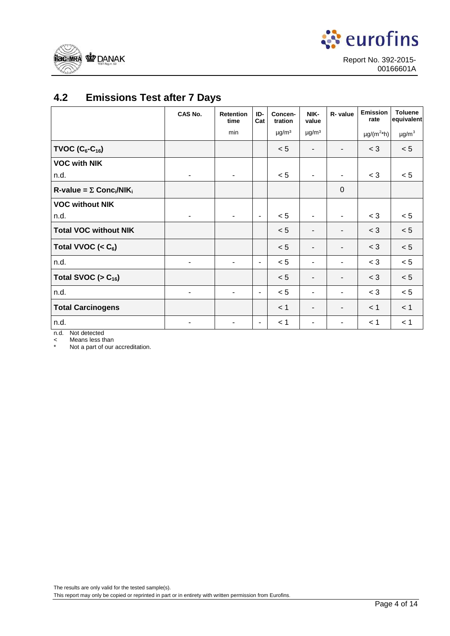<span id="page-3-0"></span>



## **4.2 Emissions Test after 7 Days**

|                                                           | CAS No. | <b>Retention</b><br>time | ID-<br>Cat     | Concen-<br>tration     | NIK-<br>value            | R- value                 | <b>Emission</b><br>rate | <b>Toluene</b><br>equivalent |
|-----------------------------------------------------------|---------|--------------------------|----------------|------------------------|--------------------------|--------------------------|-------------------------|------------------------------|
|                                                           |         | min                      |                | $\mu$ g/m <sup>3</sup> | $\mu$ g/m <sup>3</sup>   |                          | $\mu g/(m^{2*}h)$       | $\mu$ g/m $^3$               |
| <b>TVOC (C<sub>6</sub>-C<sub>16</sub>)</b>                |         |                          |                | < 5                    |                          |                          | $<$ 3                   | $< 5\,$                      |
| <b>VOC with NIK</b>                                       |         |                          |                |                        |                          |                          |                         |                              |
| n.d.                                                      |         | $\overline{\phantom{a}}$ |                | < 5                    | $\overline{\phantom{a}}$ |                          | $<$ 3                   | < 5                          |
| $R$ -value = $\Sigma$ Conc <sub>i</sub> /NIK <sub>i</sub> |         |                          |                |                        |                          | $\mathbf 0$              |                         |                              |
| <b>VOC without NIK</b>                                    |         |                          |                |                        |                          |                          |                         |                              |
| n.d.                                                      |         |                          | $\blacksquare$ | < 5                    | $\blacksquare$           | $\overline{\phantom{a}}$ | $<$ 3                   | < 5                          |
| <b>Total VOC without NIK</b>                              |         |                          |                | < 5                    |                          | $\blacksquare$           | $<$ 3                   | < 5                          |
| Total VVOC $(C_6)$                                        |         |                          |                | < 5                    |                          | ٠                        | $<$ 3                   | $< 5\,$                      |
| n.d.                                                      |         |                          | -              | < 5                    |                          |                          | $<$ 3                   | < 5                          |
| Total SVOC ( $> C_{16}$ )                                 |         |                          |                | < 5                    | $\overline{\phantom{a}}$ | -                        | $<$ 3                   | < 5                          |
| n.d.                                                      |         | $\blacksquare$           | -              | < 5                    | $\overline{\phantom{a}}$ | ٠                        | $<$ 3                   | $< 5\,$                      |
| <b>Total Carcinogens</b>                                  |         |                          |                | < 1                    | $\blacksquare$           | ٠                        | < 1                     | < 1                          |
| n.d.                                                      |         |                          | -              | < 1                    |                          |                          | < 1                     | < 1                          |

n.d. Not detected

< Means less than

\* Not a part of our accreditation.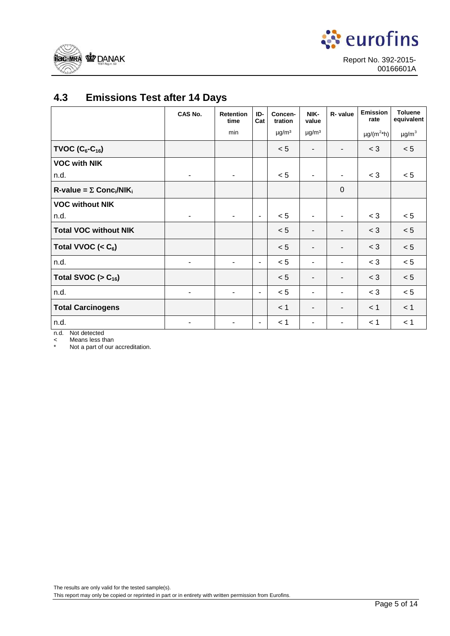<span id="page-4-0"></span>



## **4.3 Emissions Test after 14 Days**

|                                                           | CAS No.                  | <b>Retention</b><br>time | ID-<br>Cat               | Concen-<br>tration     | NIK-<br>value            | R- value    | <b>Emission</b><br>rate     | <b>Toluene</b><br>equivalent |
|-----------------------------------------------------------|--------------------------|--------------------------|--------------------------|------------------------|--------------------------|-------------|-----------------------------|------------------------------|
|                                                           |                          | min                      |                          | $\mu$ g/m <sup>3</sup> | $\mu$ g/m <sup>3</sup>   |             | $\mu$ g/(m <sup>2*</sup> h) | $\mu$ g/m $^3$               |
| TVOC $(C_6-C_{16})$                                       |                          |                          |                          | < 5                    | $\overline{\phantom{0}}$ |             | $<$ 3                       | < 5                          |
| <b>VOC with NIK</b>                                       |                          |                          |                          |                        |                          |             |                             |                              |
| n.d.                                                      |                          | ٠                        |                          | < 5                    | $\blacksquare$           |             | $<$ 3                       | < 5                          |
| $R$ -value = $\Sigma$ Conc <sub>i</sub> /NIK <sub>i</sub> |                          |                          |                          |                        |                          | $\mathbf 0$ |                             |                              |
| <b>VOC without NIK</b>                                    |                          |                          |                          |                        |                          |             |                             |                              |
| n.d.                                                      |                          | $\blacksquare$           | $\blacksquare$           | < 5                    | $\blacksquare$           | ۰           | $<$ 3                       | < 5                          |
| <b>Total VOC without NIK</b>                              |                          |                          |                          | < 5                    | -                        |             | $<$ 3                       | < 5                          |
| Total VVOC $(6)$                                          |                          |                          |                          | < 5                    | -                        |             | $<$ 3                       | < 5                          |
| n.d.                                                      | $\overline{\phantom{a}}$ | $\blacksquare$           | $\overline{\phantom{a}}$ | < 5                    | ۰                        |             | $<$ 3                       | < 5                          |
| Total SVOC ( $> C_{16}$ )                                 |                          |                          |                          | < 5                    | $\blacksquare$           |             | $<$ 3                       | < 5                          |
| n.d.                                                      | $\blacksquare$           | ٠                        | $\overline{\phantom{a}}$ | < 5                    |                          |             | $<$ 3                       | < 5                          |
| <b>Total Carcinogens</b>                                  |                          |                          |                          | < 1                    | -                        |             | < 1                         | < 1                          |
| n.d.                                                      |                          |                          | ٠                        | < 1                    |                          |             | < 1                         | < 1                          |

n.d. Not detected

< Means less than

\* Not a part of our accreditation.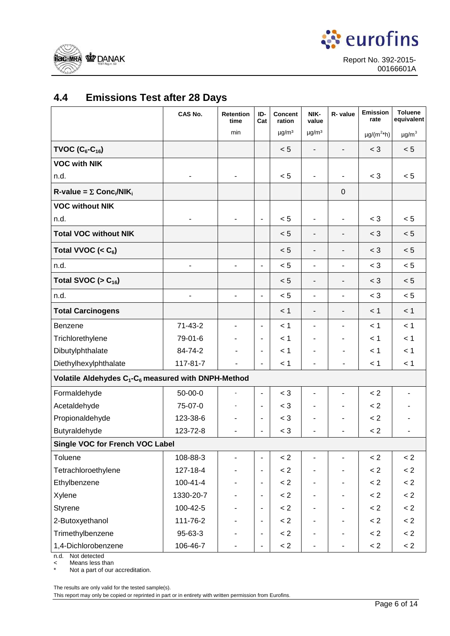<span id="page-5-0"></span>



## **4.4 Emissions Test after 28 Days**

|                                                                             | CAS No.        | <b>Retention</b><br>time | ID-<br>Cat               | Concent<br>ration      | NIK-<br>value            | R- value                     | <b>Emission</b><br>rate   | <b>Toluene</b><br>equivalent |
|-----------------------------------------------------------------------------|----------------|--------------------------|--------------------------|------------------------|--------------------------|------------------------------|---------------------------|------------------------------|
|                                                                             |                | min                      |                          | $\mu$ g/m <sup>3</sup> | $\mu$ g/m <sup>3</sup>   |                              | $\mu g/(m^{2*}h)$         | $\mu$ g/m $^3$               |
| TVOC $(C_6-C_{16})$                                                         |                |                          |                          | < 5                    | $\overline{a}$           |                              | $<$ 3                     | < 5                          |
| <b>VOC with NIK</b>                                                         |                |                          |                          |                        |                          |                              |                           |                              |
| n.d.                                                                        |                |                          |                          | < 5                    | $\overline{\phantom{0}}$ |                              | $<$ 3                     | < 5                          |
| $R$ -value = $\Sigma$ Conc <sub>i</sub> /NIK <sub>i</sub>                   |                |                          |                          |                        |                          | $\pmb{0}$                    |                           |                              |
| <b>VOC without NIK</b>                                                      |                |                          |                          |                        |                          |                              |                           |                              |
| n.d.                                                                        |                |                          | ٠                        | < 5                    | $\overline{\phantom{m}}$ |                              | $<$ 3                     | < 5                          |
| <b>Total VOC without NIK</b>                                                |                |                          |                          | < 5                    | $\overline{\phantom{a}}$ |                              | $<$ 3                     | < 5                          |
| Total VVOC (< $C_6$ )                                                       |                |                          |                          | < 5                    | $\overline{\phantom{a}}$ | $\qquad \qquad \blacksquare$ | $<$ 3                     | < 5                          |
| n.d.                                                                        |                | -                        | ÷,                       | < 5                    | $\overline{\phantom{0}}$ | $\overline{\phantom{m}}$     | $<$ 3                     | < 5                          |
| Total SVOC ( $> C_{16}$ )                                                   |                |                          |                          | < 5                    | $\overline{\phantom{a}}$ | $\blacksquare$               | $<$ 3                     | < 5                          |
| n.d.                                                                        |                | -                        | ÷,                       | < 5                    | $\overline{\phantom{m}}$ | $\overline{\phantom{a}}$     | $<$ 3                     | < 5                          |
| <b>Total Carcinogens</b>                                                    |                |                          |                          | < 1                    | $\overline{\phantom{a}}$ | $\qquad \qquad \blacksquare$ | < 1                       | < 1                          |
| Benzene                                                                     | $71-43-2$      |                          | ٠                        | < 1                    | $\blacksquare$           | $\blacksquare$               | < 1                       | < 1                          |
| Trichlorethylene                                                            | 79-01-6        |                          | -                        | < 1                    |                          |                              | < 1                       | < 1                          |
| Dibutylphthalate                                                            | 84-74-2        |                          | ٠                        | < 1                    |                          |                              | < 1                       | < 1                          |
| Diethylhexylphthalate                                                       | 117-81-7       |                          |                          | < 1                    |                          |                              | < 1                       | < 1                          |
| Volatile Aldehydes C <sub>1</sub> -C <sub>6</sub> measured with DNPH-Method |                |                          |                          |                        |                          |                              |                           |                              |
| Formaldehyde                                                                | $50 - 00 - 0$  |                          | $\frac{1}{2}$            | $<$ 3                  | -                        |                              | $\lt 2$                   |                              |
| Acetaldehyde                                                                | 75-07-0        |                          | $\overline{\phantom{0}}$ | $<$ 3                  |                          |                              | < 2                       |                              |
| Propionaldehyde                                                             | 123-38-6       |                          | -                        | $<$ 3                  |                          |                              | $\leq$ 2                  |                              |
| Butyraldehyde                                                               | 123-72-8       |                          | L.                       | $<$ 3                  |                          |                              | < 2                       |                              |
| Single VOC for French VOC Label                                             |                |                          |                          |                        |                          |                              |                           |                              |
| Toluene                                                                     | 108-88-3       |                          | ٠                        | < 2                    | $\overline{\phantom{a}}$ |                              | $\lt 2$                   | $\lt 2$                      |
| Tetrachloroethylene                                                         | 127-18-4       |                          | -                        | < 2                    |                          |                              | < 2                       | < 2                          |
| Ethylbenzene                                                                | $100 - 41 - 4$ |                          | $\overline{\phantom{0}}$ | < 2                    |                          |                              | < 2                       | < 2                          |
| Xylene                                                                      | 1330-20-7      |                          | $\overline{\phantom{0}}$ | < 2                    |                          |                              | < 2                       | < 2                          |
| Styrene                                                                     | 100-42-5       |                          |                          | < 2                    |                          |                              | < 2                       | < 2                          |
| 2-Butoxyethanol                                                             | 111-76-2       |                          | $\overline{\phantom{0}}$ | < 2                    |                          |                              | $\ensuremath{<}\xspace 2$ | < 2                          |
| Trimethylbenzene                                                            | 95-63-3        |                          | $\overline{\phantom{0}}$ | < 2                    |                          |                              | < 2                       | < 2                          |
| 1,4-Dichlorobenzene                                                         | 106-46-7       |                          | -                        | < 2                    |                          | $\overline{\phantom{0}}$     | < 2                       | < 2                          |

n.d. Not detected

< Means less than

Not a part of our accreditation.

The results are only valid for the tested sample(s).

This report may only be copied or reprinted in part or in entirety with written permission from Eurofins.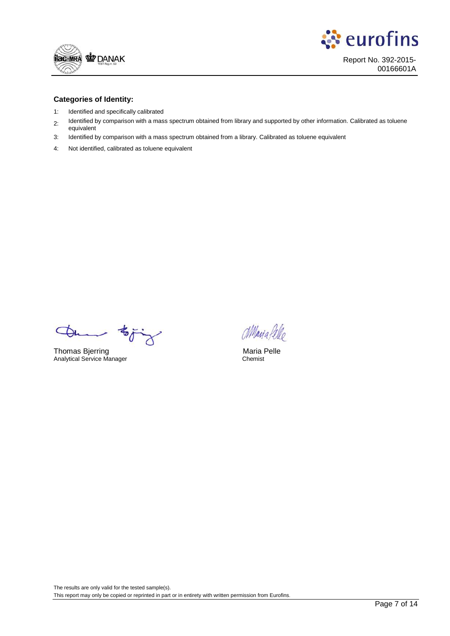



#### **Categories of Identity:**

- 1: Identified and specifically calibrated
- 2: Identified by comparison with a mass spectrum obtained from library and supported by other information. Calibrated as toluene equivalent
- 3: Identified by comparison with a mass spectrum obtained from a library. Calibrated as toluene equivalent
- 4: Not identified, calibrated as toluene equivalent

Thomas Bjerring Maria Pelle<br>
Analytical Service Manager<br>
Analytical Service Manager<br>
Chemist  $\mathbf{v}$ 

Analytical Service Manager

Maria fello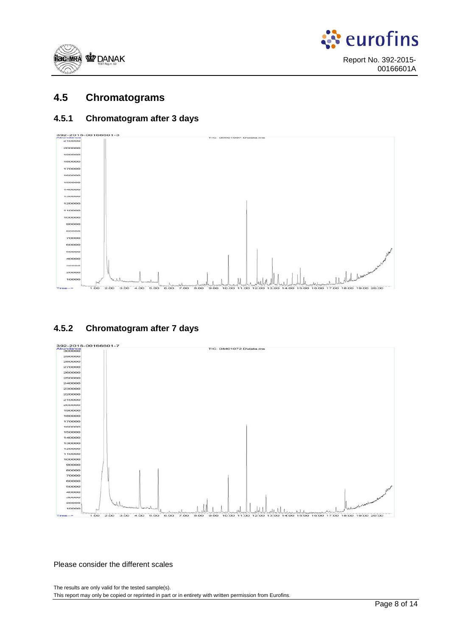<span id="page-7-0"></span>



### **4.5 Chromatograms**

### **4.5.1 Chromatogram after 3 days**



### **4.5.2 Chromatogram after 7 days**



Please consider the different scales

The results are only valid for the tested sample(s). This report may only be copied or reprinted in part or in entirety with written permission from Eurofins.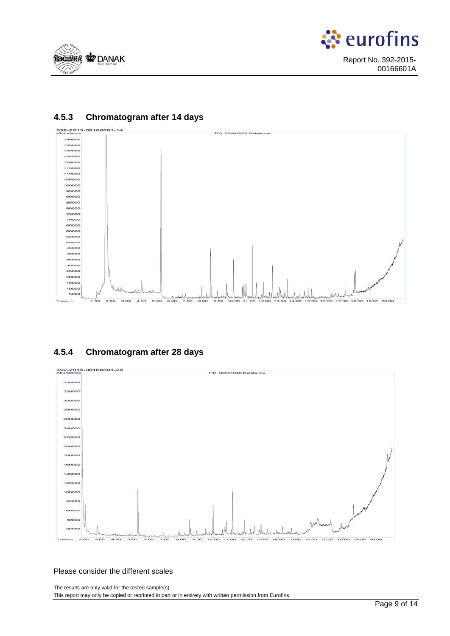





### **4.5.3 Chromatogram after 14 days**

### **4.5.4 Chromatogram after 28 days**



#### Please consider the different scales

The results are only valid for the tested sample(s). This report may only be copied or reprinted in part or in entirety with written permission from Eurofins.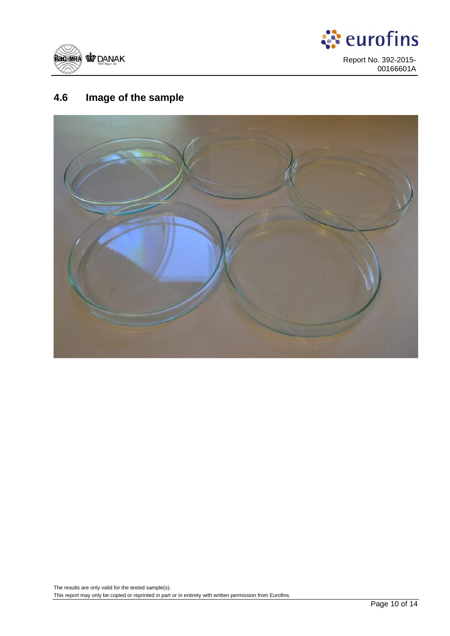<span id="page-9-0"></span>



## **4.6 Image of the sample**

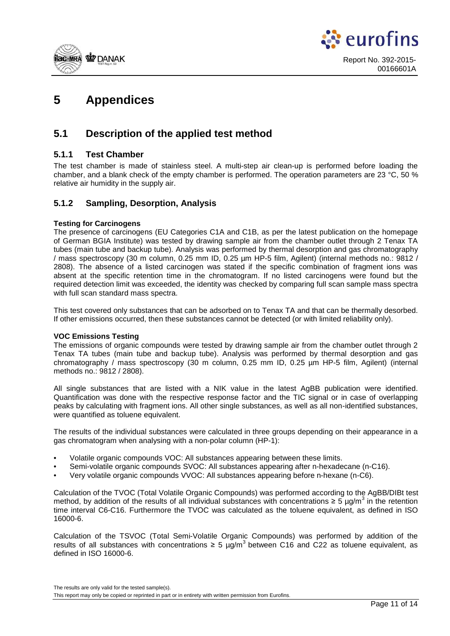<span id="page-10-0"></span>



## **5 Appendices**

### **5.1 Description of the applied test method**

### **5.1.1 Test Chamber**

The test chamber is made of stainless steel. A multi-step air clean-up is performed before loading the chamber, and a blank check of the empty chamber is performed. The operation parameters are 23 °C, 50 % relative air humidity in the supply air.

### **5.1.2 Sampling, Desorption, Analysis**

#### **Testing for Carcinogens**

The presence of carcinogens (EU Categories C1A and C1B, as per the latest publication on the homepage of German BGIA Institute) was tested by drawing sample air from the chamber outlet through 2 Tenax TA tubes (main tube and backup tube). Analysis was performed by thermal desorption and gas chromatography / mass spectroscopy (30 m column, 0.25 mm ID, 0.25 µm HP-5 film, Agilent) (internal methods no.: 9812 / 2808). The absence of a listed carcinogen was stated if the specific combination of fragment ions was absent at the specific retention time in the chromatogram. If no listed carcinogens were found but the required detection limit was exceeded, the identity was checked by comparing full scan sample mass spectra with full scan standard mass spectra.

This test covered only substances that can be adsorbed on to Tenax TA and that can be thermally desorbed. If other emissions occurred, then these substances cannot be detected (or with limited reliability only).

#### **VOC Emissions Testing**

The emissions of organic compounds were tested by drawing sample air from the chamber outlet through 2 Tenax TA tubes (main tube and backup tube). Analysis was performed by thermal desorption and gas chromatography / mass spectroscopy (30 m column, 0.25 mm ID, 0.25 µm HP-5 film, Agilent) (internal methods no.: 9812 / 2808).

All single substances that are listed with a NIK value in the latest AgBB publication were identified. Quantification was done with the respective response factor and the TIC signal or in case of overlapping peaks by calculating with fragment ions. All other single substances, as well as all non-identified substances, were quantified as toluene equivalent.

The results of the individual substances were calculated in three groups depending on their appearance in a gas chromatogram when analysing with a non-polar column (HP-1):

- Volatile organic compounds VOC: All substances appearing between these limits.
- Semi-volatile organic compounds SVOC: All substances appearing after n-hexadecane (n-C16).
- Very volatile organic compounds VVOC: All substances appearing before n-hexane (n-C6).

Calculation of the TVOC (Total Volatile Organic Compounds) was performed according to the AgBB/DIBt test method, by addition of the results of all individual substances with concentrations ≥ 5 µg/m<sup>3</sup> in the retention time interval C6-C16. Furthermore the TVOC was calculated as the toluene equivalent, as defined in ISO 16000-6.

Calculation of the TSVOC (Total Semi-Volatile Organic Compounds) was performed by addition of the results of all substances with concentrations  $\geq 5 \text{ µq/m}^3$  between C16 and C22 as toluene equivalent, as defined in ISO 16000-6.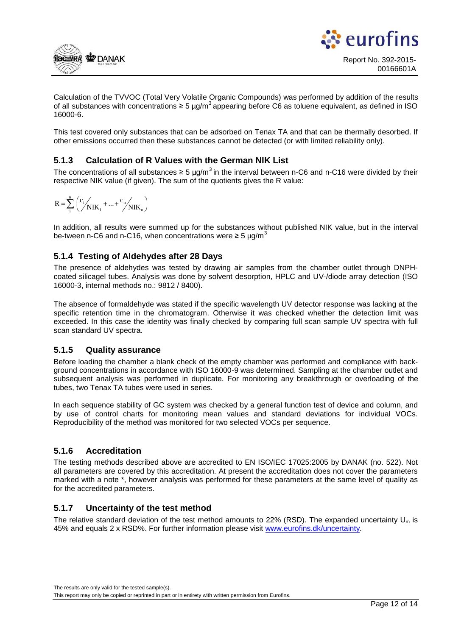



Calculation of the TVVOC (Total Very Volatile Organic Compounds) was performed by addition of the results of all substances with concentrations ≥ 5 µg/m<sup>3</sup> appearing before C6 as toluene equivalent, as defined in ISO 16000-6.

This test covered only substances that can be adsorbed on Tenax TA and that can be thermally desorbed. If other emissions occurred then these substances cannot be detected (or with limited reliability only).

### **5.1.3 Calculation of R Values with the German NIK List**

The concentrations of all substances  $\geq 5 \mu g/m^3$  in the interval between n-C6 and n-C16 were divided by their respective NIK value (if given). The sum of the quotients gives the R value:

$$
R = \sum_{i}^{n} \left( \sum_{i}^{c_i} k_{IJK_{I}} + ... + \sum_{i}^{c_n} k_{IJK_{n}} \right)
$$

In addition, all results were summed up for the substances without published NIK value, but in the interval be-tween n-C6 and n-C16, when concentrations were  $\geq 5 \text{ µg/m}^3$ 

### **5.1.4 Testing of Aldehydes after 28 Days**

The presence of aldehydes was tested by drawing air samples from the chamber outlet through DNPHcoated silicagel tubes. Analysis was done by solvent desorption, HPLC and UV-/diode array detection (ISO 16000-3, internal methods no.: 9812 / 8400).

The absence of formaldehyde was stated if the specific wavelength UV detector response was lacking at the specific retention time in the chromatogram. Otherwise it was checked whether the detection limit was exceeded. In this case the identity was finally checked by comparing full scan sample UV spectra with full scan standard UV spectra.

### **5.1.5 Quality assurance**

Before loading the chamber a blank check of the empty chamber was performed and compliance with background concentrations in accordance with ISO 16000-9 was determined. Sampling at the chamber outlet and subsequent analysis was performed in duplicate. For monitoring any breakthrough or overloading of the tubes, two Tenax TA tubes were used in series.

In each sequence stability of GC system was checked by a general function test of device and column, and by use of control charts for monitoring mean values and standard deviations for individual VOCs. Reproducibility of the method was monitored for two selected VOCs per sequence.

### **5.1.6 Accreditation**

The testing methods described above are accredited to EN ISO/IEC 17025:2005 by DANAK (no. 522). Not all parameters are covered by this accreditation. At present the accreditation does not cover the parameters marked with a note \*, however analysis was performed for these parameters at the same level of quality as for the accredited parameters.

### **5.1.7 Uncertainty of the test method**

The relative standard deviation of the test method amounts to 22% (RSD). The expanded uncertainty  $U_m$  is 45% and equals 2 x RSD%. For further information please visi[t www.eurofins.dk/uncertainty.](http://www.eurofins.dk/uncertainty)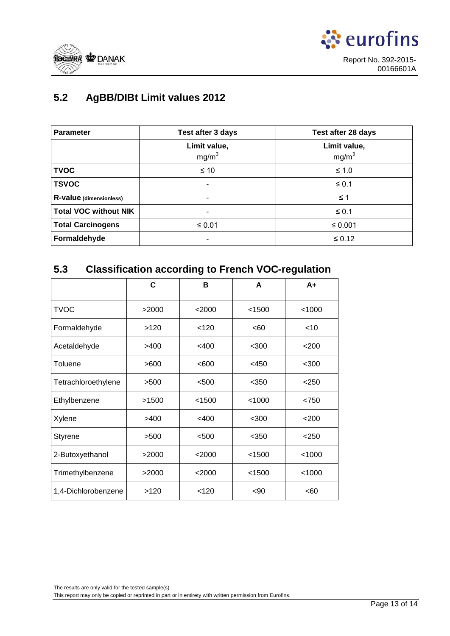<span id="page-12-0"></span>



## **5.2 AgBB/DIBt Limit values 2012**

| <b>Parameter</b>             | Test after 3 days                 | Test after 28 days                |
|------------------------------|-----------------------------------|-----------------------------------|
|                              | Limit value,<br>mg/m <sup>3</sup> | Limit value,<br>mg/m <sup>3</sup> |
| <b>TVOC</b>                  | $\leq 10$                         | $≤ 1.0$                           |
| <b>TSVOC</b>                 |                                   | $\leq 0.1$                        |
| R-value (dimensionless)      | ۰                                 | $\leq$ 1                          |
| <b>Total VOC without NIK</b> | ٠                                 | $\leq 0.1$                        |
| <b>Total Carcinogens</b>     | $\leq 0.01$                       | ≤ 0.001                           |
| Formaldehyde                 |                                   | $\leq 0.12$                       |

### **5.3 Classification according to French VOC-regulation**

|                     | C     | в        | A       | $A+$    |
|---------------------|-------|----------|---------|---------|
| <b>TVOC</b>         | >2000 | $<$ 2000 | < 1500  | < 1000  |
| Formaldehyde        | >120  | < 120    | <60     | $<$ 10  |
| Acetaldehyde        | >400  | $<$ 400  | $300$   | < 200   |
| Toluene             | >600  | < 600    | $<$ 450 | $300$   |
| Tetrachloroethylene | >500  | $500$    | $350$   | $<$ 250 |
| Ethylbenzene        | >1500 | < 1500   | < 1000  | < 750   |
| Xylene              | >400  | $<$ 400  | $300$   | < 200   |
| Styrene             | >500  | < 500    | $350$   | < 250   |
| 2-Butoxyethanol     | >2000 | $<$ 2000 | < 1500  | < 1000  |
| Trimethylbenzene    | >2000 | $<$ 2000 | < 1500  | < 1000  |
| 1,4-Dichlorobenzene | >120  | < 120    | $90$    | < 60    |